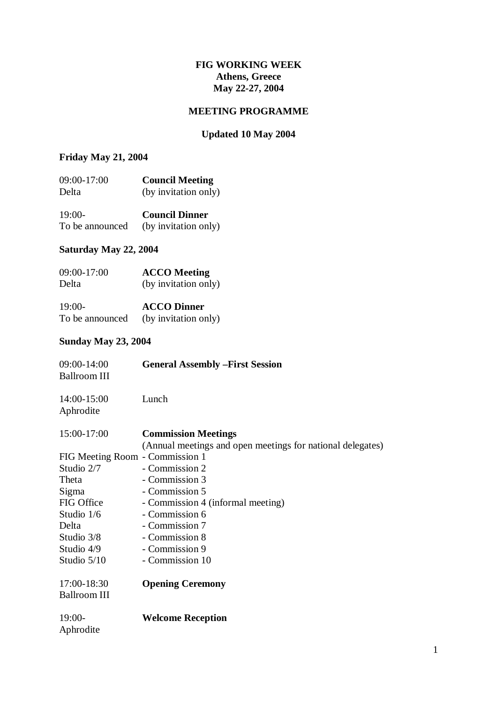#### **FIG WORKING WEEK Athens, Greece May 22-27, 2004**

#### **MEETING PROGRAMME**

### **Updated 10 May 2004**

#### **Friday May 21, 2004**

| 09:00-17:00 | <b>Council Meeting</b> |
|-------------|------------------------|
| Delta       | (by invitation only)   |
| $19:00-$    | <b>Council Dinner</b>  |

To be announced (by invitation only)

## **Saturday May 22, 2004**

| 09:00-17:00 | <b>ACCO</b> Meeting  |
|-------------|----------------------|
| Delta       | (by invitation only) |

| $19:00-$        | <b>ACCO Dinner</b>   |
|-----------------|----------------------|
| To be announced | (by invitation only) |

## **Sunday May 23, 2004**

| 09:00-14:00<br><b>Ballroom III</b> | <b>General Assembly - First Session</b>                                                  |
|------------------------------------|------------------------------------------------------------------------------------------|
| 14:00-15:00<br>Aphrodite           | Lunch                                                                                    |
| 15:00-17:00                        | <b>Commission Meetings</b><br>(Annual meetings and open meetings for national delegates) |
| FIG Meeting Room - Commission 1    |                                                                                          |
| Studio 2/7                         | - Commission 2                                                                           |
| Theta                              | - Commission 3                                                                           |
| Sigma                              | - Commission 5                                                                           |
| FIG Office                         | - Commission 4 (informal meeting)                                                        |
| Studio 1/6                         | - Commission 6                                                                           |
| Delta                              | - Commission 7                                                                           |
| Studio 3/8                         | - Commission 8                                                                           |
| Studio 4/9                         | - Commission 9                                                                           |
| Studio 5/10                        | - Commission 10                                                                          |
| 17:00-18:30<br>Ballroom III        | <b>Opening Ceremony</b>                                                                  |
| $19:00-$<br>Aphrodite              | <b>Welcome Reception</b>                                                                 |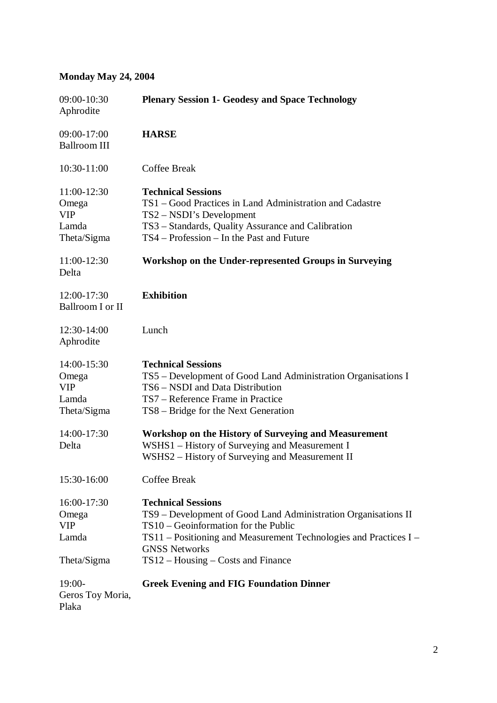## **Monday May 24, 2004**

| 09:00-10:30<br>Aphrodite                                   | <b>Plenary Session 1- Geodesy and Space Technology</b>                                                                                                                                                                                                                       |
|------------------------------------------------------------|------------------------------------------------------------------------------------------------------------------------------------------------------------------------------------------------------------------------------------------------------------------------------|
| 09:00-17:00<br><b>Ballroom III</b>                         | <b>HARSE</b>                                                                                                                                                                                                                                                                 |
| 10:30-11:00                                                | Coffee Break                                                                                                                                                                                                                                                                 |
| 11:00-12:30<br>Omega<br><b>VIP</b><br>Lamda<br>Theta/Sigma | <b>Technical Sessions</b><br>TS1 – Good Practices in Land Administration and Cadastre<br>TS2 – NSDI's Development<br>TS3 - Standards, Quality Assurance and Calibration<br>TS4 – Profession – In the Past and Future                                                         |
| 11:00-12:30<br>Delta                                       | Workshop on the Under-represented Groups in Surveying                                                                                                                                                                                                                        |
| 12:00-17:30<br>Ballroom I or II                            | <b>Exhibition</b>                                                                                                                                                                                                                                                            |
| 12:30-14:00<br>Aphrodite                                   | Lunch                                                                                                                                                                                                                                                                        |
| 14:00-15:30<br>Omega<br><b>VIP</b><br>Lamda<br>Theta/Sigma | <b>Technical Sessions</b><br>TS5 – Development of Good Land Administration Organisations I<br>TS6 - NSDI and Data Distribution<br>TS7 – Reference Frame in Practice<br>TS8 – Bridge for the Next Generation                                                                  |
| 14:00-17:30<br>Delta                                       | Workshop on the History of Surveying and Measurement<br>WSHS1 – History of Surveying and Measurement I<br>WSHS2 - History of Surveying and Measurement II                                                                                                                    |
| 15:30-16:00                                                | Coffee Break                                                                                                                                                                                                                                                                 |
| 16:00-17:30<br>Omega<br><b>VIP</b><br>Lamda<br>Theta/Sigma | <b>Technical Sessions</b><br>TS9 - Development of Good Land Administration Organisations II<br>$TS10 - Geoinformation$ for the Public<br>$TS11$ – Positioning and Measurement Technologies and Practices I –<br><b>GNSS Networks</b><br>$TS12 - Housing - Costs$ and Finance |
| $19:00-$<br>Geros Toy Moria,<br>Plaka                      | <b>Greek Evening and FIG Foundation Dinner</b>                                                                                                                                                                                                                               |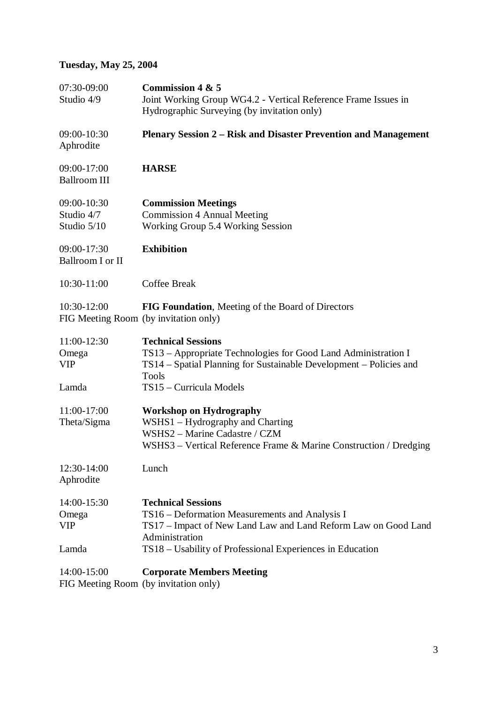# **Tuesday, May 25, 2004**

| 07:30-09:00<br>Studio 4/9                                  | Commission 4 & 5<br>Joint Working Group WG4.2 - Vertical Reference Frame Issues in<br>Hydrographic Surveying (by invitation only)                                                                                            |
|------------------------------------------------------------|------------------------------------------------------------------------------------------------------------------------------------------------------------------------------------------------------------------------------|
| 09:00-10:30<br>Aphrodite                                   | <b>Plenary Session 2 – Risk and Disaster Prevention and Management</b>                                                                                                                                                       |
| 09:00-17:00<br><b>Ballroom III</b>                         | <b>HARSE</b>                                                                                                                                                                                                                 |
| 09:00-10:30<br>Studio 4/7<br>Studio 5/10                   | <b>Commission Meetings</b><br><b>Commission 4 Annual Meeting</b><br>Working Group 5.4 Working Session                                                                                                                        |
| 09:00-17:30<br>Ballroom I or II                            | <b>Exhibition</b>                                                                                                                                                                                                            |
| 10:30-11:00                                                | <b>Coffee Break</b>                                                                                                                                                                                                          |
| 10:30-12:00                                                | FIG Foundation, Meeting of the Board of Directors<br>FIG Meeting Room (by invitation only)                                                                                                                                   |
| 11:00-12:30<br>Omega<br><b>VIP</b>                         | <b>Technical Sessions</b><br>TS13 – Appropriate Technologies for Good Land Administration I<br>TS14 – Spatial Planning for Sustainable Development – Policies and<br>Tools                                                   |
| Lamda                                                      | TS15 - Curricula Models                                                                                                                                                                                                      |
| 11:00-17:00<br>Theta/Sigma                                 | <b>Workshop on Hydrography</b><br>WSHS1 – Hydrography and Charting<br>WSHS2 - Marine Cadastre / CZM<br>$WSHS3 - Vertical Reference Frame & Marine Construction / Dredging$                                                   |
| 12:30-14:00<br>Aphrodite                                   | Lunch                                                                                                                                                                                                                        |
| 14:00-15:30<br>Omega<br><b>VIP</b><br>Lamda                | <b>Technical Sessions</b><br>TS16 – Deformation Measurements and Analysis I<br>TS17 – Impact of New Land Law and Land Reform Law on Good Land<br>Administration<br>TS18 – Usability of Professional Experiences in Education |
| 14:00-15:00<br>$\prod C$ Mosting Doom (by invitation only) | <b>Corporate Members Meeting</b>                                                                                                                                                                                             |

FIG Meeting Room (by invitation only)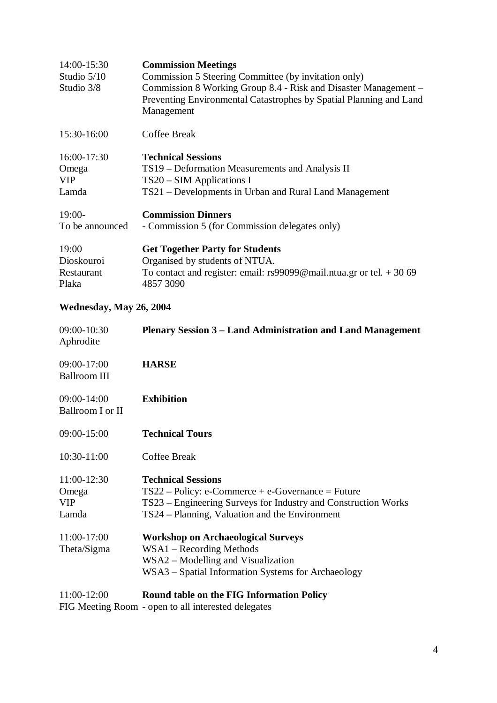| 14:00-15:30<br>Studio $5/10$<br>Studio 3/8 | <b>Commission Meetings</b><br>Commission 5 Steering Committee (by invitation only)<br>Commission 8 Working Group 8.4 - Risk and Disaster Management –<br>Preventing Environmental Catastrophes by Spatial Planning and Land<br>Management |
|--------------------------------------------|-------------------------------------------------------------------------------------------------------------------------------------------------------------------------------------------------------------------------------------------|
| 15:30-16:00                                | Coffee Break                                                                                                                                                                                                                              |
| 16:00-17:30                                | <b>Technical Sessions</b>                                                                                                                                                                                                                 |
| Omega                                      | TS19 – Deformation Measurements and Analysis II                                                                                                                                                                                           |
| <b>VIP</b>                                 | $TS20 - SIM Applications I$                                                                                                                                                                                                               |
| Lamda                                      | TS21 – Developments in Urban and Rural Land Management                                                                                                                                                                                    |
| $19:00-$                                   | <b>Commission Dinners</b>                                                                                                                                                                                                                 |
| To be announced                            | - Commission 5 (for Commission delegates only)                                                                                                                                                                                            |
| 19:00                                      | <b>Get Together Party for Students</b>                                                                                                                                                                                                    |
| Dioskouroi                                 | Organised by students of NTUA.                                                                                                                                                                                                            |
| Restaurant                                 | To contact and register: email: $rs99099@mail.ntua.gr.$ or tel. $+3069$                                                                                                                                                                   |
| Plaka                                      | 4857 3090                                                                                                                                                                                                                                 |

## **Wednesday, May 26, 2004**

| 09:00-10:30<br>Aphrodite                    | <b>Plenary Session 3 – Land Administration and Land Management</b>                                                                                                                                   |
|---------------------------------------------|------------------------------------------------------------------------------------------------------------------------------------------------------------------------------------------------------|
| 09:00-17:00<br><b>Ballroom III</b>          | <b>HARSE</b>                                                                                                                                                                                         |
| 09:00-14:00<br>Ballroom I or II             | <b>Exhibition</b>                                                                                                                                                                                    |
| 09:00-15:00                                 | <b>Technical Tours</b>                                                                                                                                                                               |
| 10:30-11:00                                 | <b>Coffee Break</b>                                                                                                                                                                                  |
| 11:00-12:30<br>Omega<br><b>VIP</b><br>Lamda | <b>Technical Sessions</b><br>$TS22 - Policy: e-Commerce + e-Government = Future$<br>TS23 – Engineering Surveys for Industry and Construction Works<br>TS24 – Planning, Valuation and the Environment |
| 11:00-17:00<br>Theta/Sigma                  | <b>Workshop on Archaeological Surveys</b><br>$WSA1 - Recording Methods$<br>WSA2 – Modelling and Visualization<br>WSA3 – Spatial Information Systems for Archaeology                                  |
| 11:00-12:00                                 | <b>Round table on the FIG Information Policy</b>                                                                                                                                                     |

FIG Meeting Room - open to all interested delegates